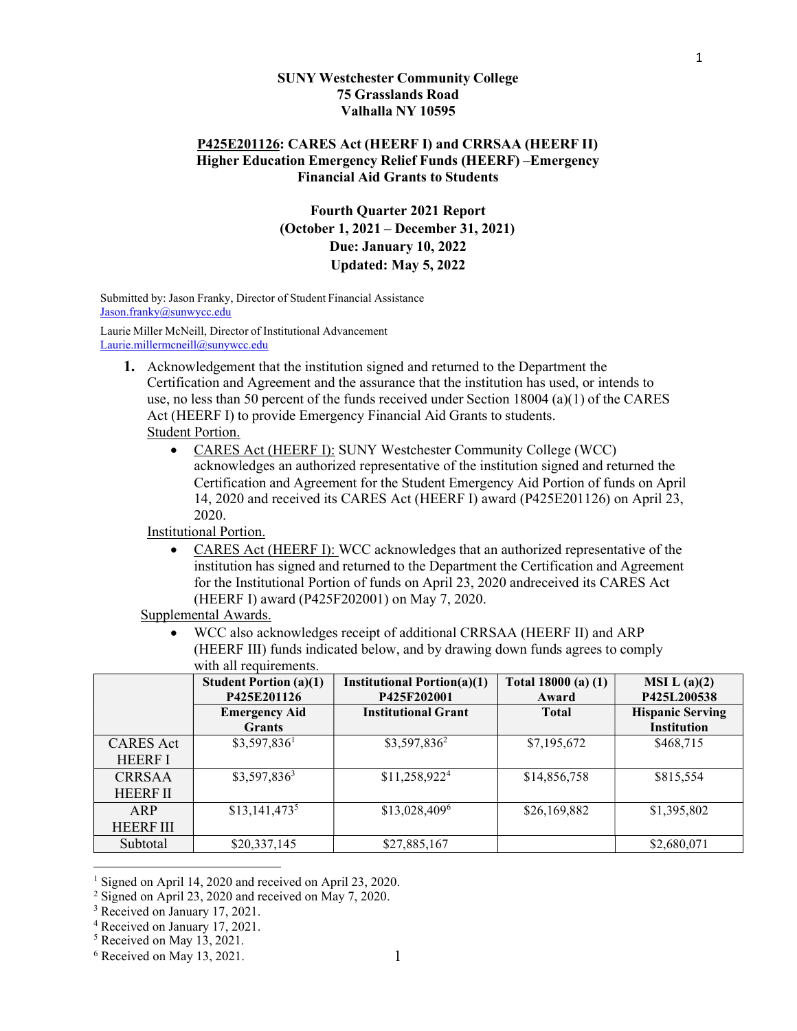#### SUNY Westchester Community College 75 Grasslands Road Valhalla NY 10595

#### P425E201126: CARES Act (HEERF I) and CRRSAA (HEERF II) Higher Education Emergency Relief Funds (HEERF) –Emergency Financial Aid Grants to Students

# Fourth Quarter 2021 Report (October 1, 2021 – December 31, 2021) Due: January 10, 2022 Updated: May 5, 2022

Submitted by: Jason Franky, Director of Student Financial Assistance Jason.franky@sunwycc.edu

Laurie Miller McNeill, Director of Institutional Advancement Laurie.millermcneill@sunywcc.edu

- 1. Acknowledgement that the institution signed and returned to the Department the Certification and Agreement and the assurance that the institution has used, or intends to use, no less than 50 percent of the funds received under Section 18004 (a)(1) of the CARES Act (HEERF I) to provide Emergency Financial Aid Grants to students. Student Portion.
	- CARES Act (HEERF I): SUNY Westchester Community College (WCC) acknowledges an authorized representative of the institution signed and returned the Certification and Agreement for the Student Emergency Aid Portion of funds on April 14, 2020 and received its CARES Act (HEERF I) award (P425E201126) on April 23, 2020.

Institutional Portion.

 CARES Act (HEERF I): WCC acknowledges that an authorized representative of the institution has signed and returned to the Department the Certification and Agreement for the Institutional Portion of funds on April 23, 2020 andreceived its CARES Act (HEERF I) award (P425F202001) on May 7, 2020.

Supplemental Awards.

 WCC also acknowledges receipt of additional CRRSAA (HEERF II) and ARP (HEERF III) funds indicated below, and by drawing down funds agrees to comply with all requirements.

|                  | <b>Student Portion (a)(1)</b><br>P425E201126 | <b>Institutional Portion(a)(1)</b><br>P425F202001 | Total $18000(a) (1)$<br>Award | MSI L(a)(2)<br>P425L200538 |
|------------------|----------------------------------------------|---------------------------------------------------|-------------------------------|----------------------------|
|                  | <b>Emergency Aid</b>                         | <b>Institutional Grant</b>                        | <b>Total</b>                  | <b>Hispanic Serving</b>    |
|                  | <b>Grants</b>                                |                                                   |                               | <b>Institution</b>         |
| <b>CARES</b> Act | $$3,597,836^1$                               | $$3,597,836^2$                                    | \$7,195,672                   | \$468,715                  |
| <b>HEERF I</b>   |                                              |                                                   |                               |                            |
| <b>CRRSAA</b>    | $$3,597,836^3$                               | \$11,258,922 <sup>4</sup>                         | \$14,856,758                  | \$815,554                  |
| <b>HEERF II</b>  |                                              |                                                   |                               |                            |
| ARP              | $$13,141,473^5$                              | \$13,028,4096                                     | \$26,169,882                  | \$1,395,802                |
| <b>HEERFIII</b>  |                                              |                                                   |                               |                            |
| Subtotal         | \$20,337,145                                 | \$27,885,167                                      |                               | \$2,680,071                |

<sup>&</sup>lt;sup>1</sup> Signed on April 14, 2020 and received on April 23, 2020.

<sup>4</sup> Received on January 17, 2021.

 $2$  Signed on April 23, 2020 and received on May 7, 2020.

<sup>&</sup>lt;sup>3</sup> Received on January 17, 2021.

<sup>5</sup> Received on May 13, 2021.

 $6$  Received on May 13, 2021.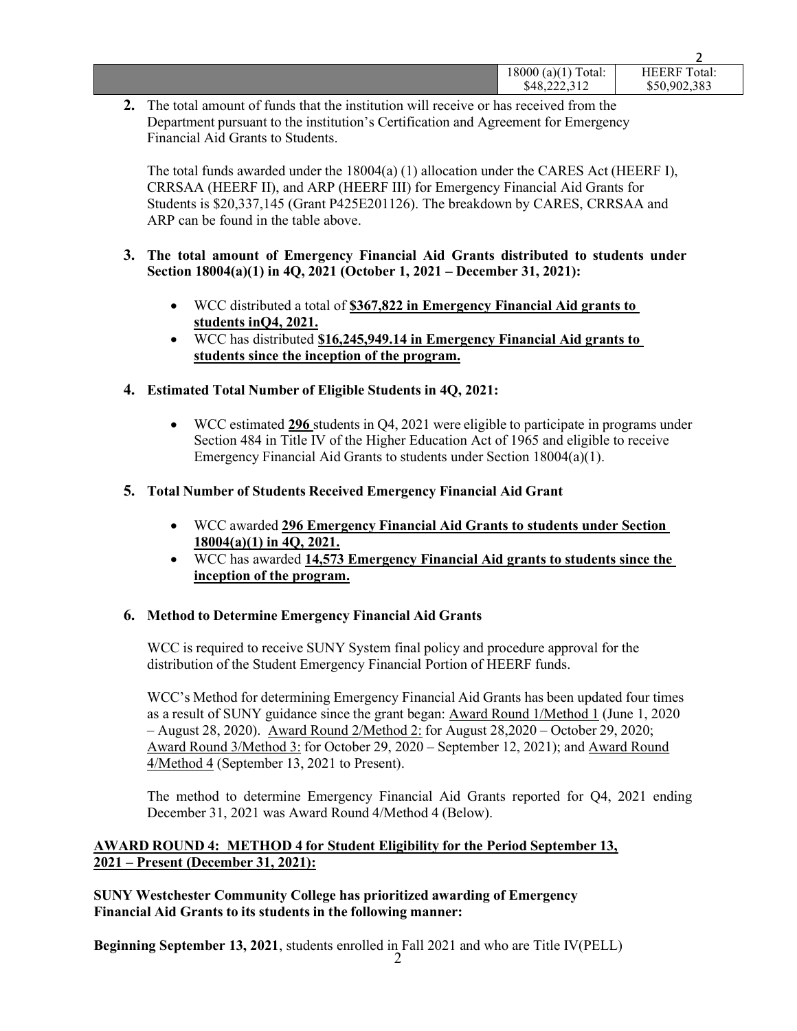| 18000(a)(1)<br>Total:<br>\$48,222,312 | <b>HEERF</b> Total:<br>\$50,902,383 |
|---------------------------------------|-------------------------------------|
|                                       |                                     |

2. The total amount of funds that the institution will receive or has received from the Department pursuant to the institution's Certification and Agreement for Emergency Financial Aid Grants to Students.

The total funds awarded under the 18004(a) (1) allocation under the CARES Act (HEERF I), CRRSAA (HEERF II), and ARP (HEERF III) for Emergency Financial Aid Grants for Students is \$20,337,145 (Grant P425E201126). The breakdown by CARES, CRRSAA and ARP can be found in the table above.

- 3. The total amount of Emergency Financial Aid Grants distributed to students under Section 18004(a)(1) in 4Q, 2021 (October 1, 2021 – December 31, 2021):
	- WCC distributed a total of \$367,822 in Emergency Financial Aid grants to students in Q4, 2021.
	- WCC has distributed \$16,245,949.14 in Emergency Financial Aid grants to students since the inception of the program.

## 4. Estimated Total Number of Eligible Students in 4Q, 2021:

 WCC estimated 296 students in Q4, 2021 were eligible to participate in programs under Section 484 in Title IV of the Higher Education Act of 1965 and eligible to receive Emergency Financial Aid Grants to students under Section 18004(a)(1).

## 5. Total Number of Students Received Emergency Financial Aid Grant

- WCC awarded 296 Emergency Financial Aid Grants to students under Section  $18004(a)(1)$  in 4Q, 2021.
- WCC has awarded 14,573 Emergency Financial Aid grants to students since the inception of the program.

#### 6. Method to Determine Emergency Financial Aid Grants

WCC is required to receive SUNY System final policy and procedure approval for the distribution of the Student Emergency Financial Portion of HEERF funds.

WCC's Method for determining Emergency Financial Aid Grants has been updated four times as a result of SUNY guidance since the grant began: Award Round 1/Method 1 (June 1, 2020 – August 28, 2020). Award Round 2/Method 2: for August 28,2020 – October 29, 2020; Award Round 3/Method 3: for October 29, 2020 – September 12, 2021); and Award Round 4/Method 4 (September 13, 2021 to Present).

The method to determine Emergency Financial Aid Grants reported for Q4, 2021 ending December 31, 2021 was Award Round 4/Method 4 (Below).

## AWARD ROUND 4: METHOD 4 for Student Eligibility for the Period September 13, 2021 – Present (December 31, 2021):

## SUNY Westchester Community College has prioritized awarding of Emergency Financial Aid Grants to its students in the following manner:

 $2 \left( \frac{1}{2} \right)$ Beginning September 13, 2021, students enrolled in Fall 2021 and who are Title IV(PELL)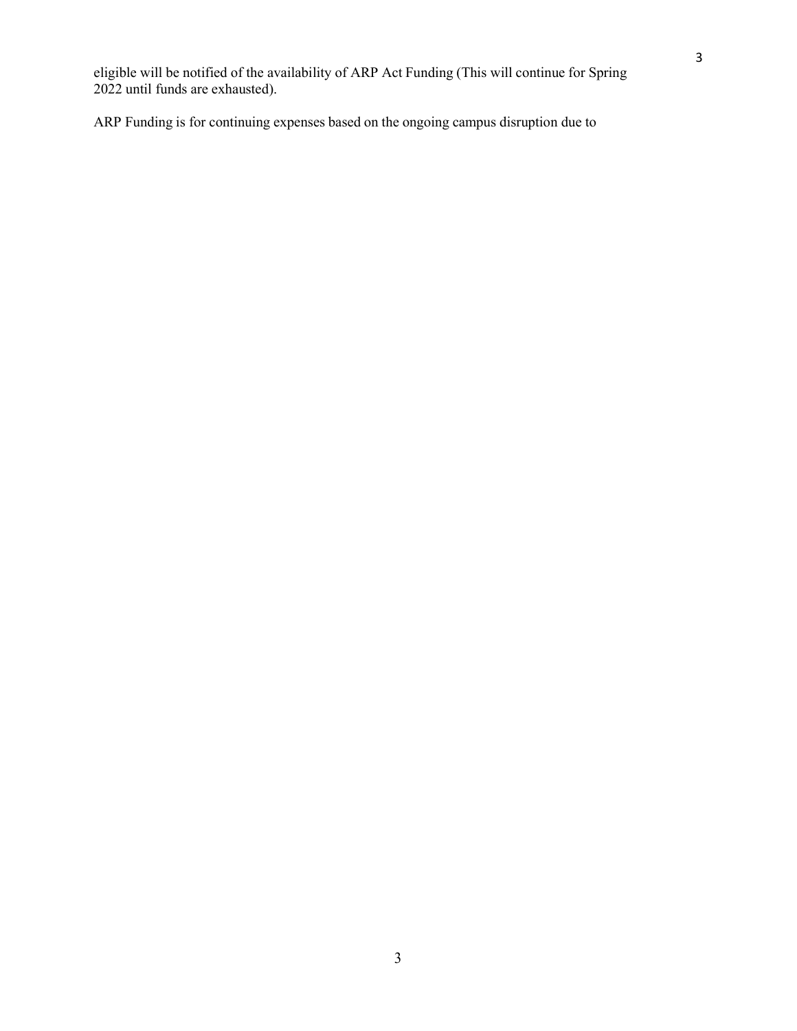ARP Funding is for continuing expenses based on the ongoing campus disruption due to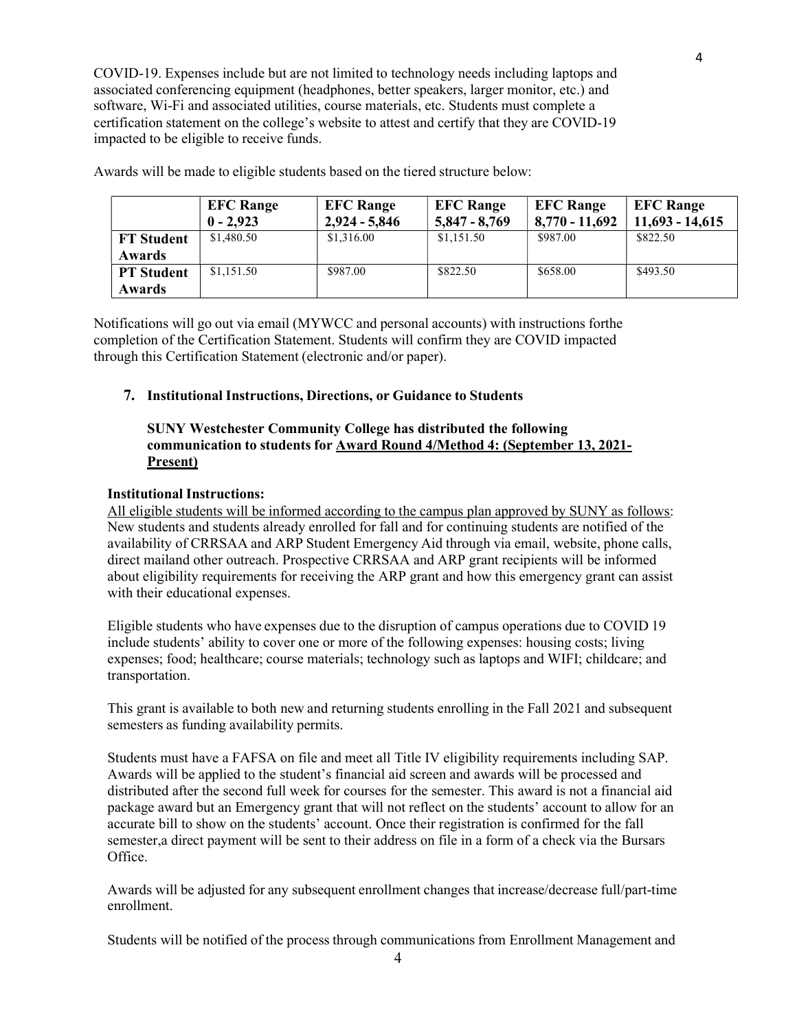COVID-19. Expenses include but are not limited to technology needs including laptops and associated conferencing equipment (headphones, better speakers, larger monitor, etc.) and software, Wi-Fi and associated utilities, course materials, etc. Students must complete a certification statement on the college's website to attest and certify that they are COVID-19 impacted to be eligible to receive funds.

|                                    | <b>EFC Range</b><br>$0 - 2,923$ | <b>EFC Range</b><br>$2,924 - 5,846$ | <b>EFC Range</b><br>$5,847 - 8,769$ | <b>EFC Range</b><br>$8,770 - 11,692$ | <b>EFC Range</b><br>$11,693 - 14,615$ |
|------------------------------------|---------------------------------|-------------------------------------|-------------------------------------|--------------------------------------|---------------------------------------|
| <b>FT Student</b><br><b>Awards</b> | \$1,480.50                      | \$1,316.00                          | \$1,151.50                          | \$987.00                             | \$822.50                              |
| <b>PT Student</b><br><b>Awards</b> | \$1,151.50                      | \$987.00                            | \$822.50                            | \$658.00                             | \$493.50                              |

Awards will be made to eligible students based on the tiered structure below:

Notifications will go out via email (MYWCC and personal accounts) with instructions forthe completion of the Certification Statement. Students will confirm they are COVID impacted through this Certification Statement (electronic and/or paper).

#### 7. Institutional Instructions, Directions, or Guidance to Students

### SUNY Westchester Community College has distributed the following communication to students for Award Round 4/Method 4: (September 13, 2021- Present)

#### Institutional Instructions:

All eligible students will be informed according to the campus plan approved by SUNY as follows: New students and students already enrolled for fall and for continuing students are notified of the availability of CRRSAA and ARP Student Emergency Aid through via email, website, phone calls, direct mailand other outreach. Prospective CRRSAA and ARP grant recipients will be informed about eligibility requirements for receiving the ARP grant and how this emergency grant can assist with their educational expenses.

Eligible students who have expenses due to the disruption of campus operations due to COVID 19 include students' ability to cover one or more of the following expenses: housing costs; living expenses; food; healthcare; course materials; technology such as laptops and WIFI; childcare; and transportation.

This grant is available to both new and returning students enrolling in the Fall 2021 and subsequent semesters as funding availability permits.

Students must have a FAFSA on file and meet all Title IV eligibility requirements including SAP. Awards will be applied to the student's financial aid screen and awards will be processed and distributed after the second full week for courses for the semester. This award is not a financial aid package award but an Emergency grant that will not reflect on the students' account to allow for an accurate bill to show on the students' account. Once their registration is confirmed for the fall semester,a direct payment will be sent to their address on file in a form of a check via the Bursars Office.

Awards will be adjusted for any subsequent enrollment changes that increase/decrease full/part-time enrollment.

Students will be notified of the process through communications from Enrollment Management and